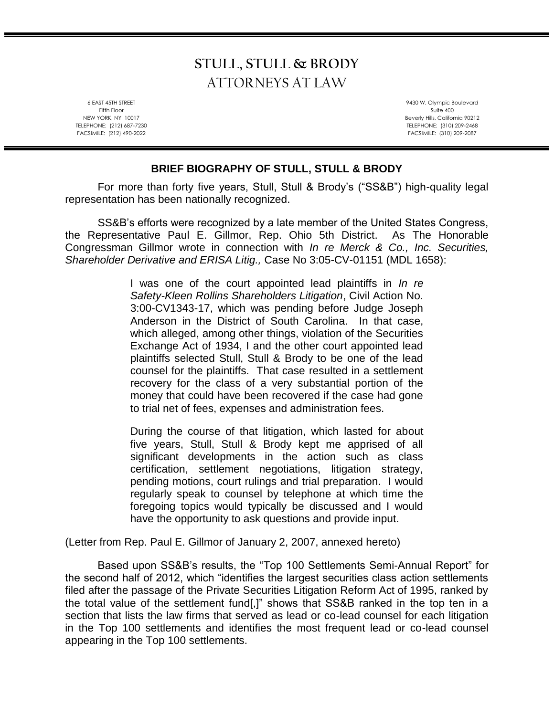# **STULL, STULL & BRODY** ATTORNEYS AT LAW

6 EAST 45TH STREET Fifth Floor NEW YORK, NY 10017 TELEPHONE: (212) 687-7230 FACSIMILE: (212) 490-2022

9430 W. Olympic Boulevard Suite 400 Beverly Hills, California 90212 TELEPHONE: (310) 209-2468 FACSIMILE: (310) 209-2087

## **BRIEF BIOGRAPHY OF STULL, STULL & BRODY**

For more than forty five years, Stull, Stull & Brody's ("SS&B") high-quality legal representation has been nationally recognized.

SS&B's efforts were recognized by a late member of the United States Congress, the Representative Paul E. Gillmor, Rep. Ohio 5th District. As The Honorable Congressman Gillmor wrote in connection with *In re Merck & Co., Inc. Securities, Shareholder Derivative and ERISA Litig.,* Case No 3:05-CV-01151 (MDL 1658):

> I was one of the court appointed lead plaintiffs in *In re Safety-Kleen Rollins Shareholders Litigation*, Civil Action No. 3:00-CV1343-17, which was pending before Judge Joseph Anderson in the District of South Carolina. In that case, which alleged, among other things, violation of the Securities Exchange Act of 1934, I and the other court appointed lead plaintiffs selected Stull, Stull & Brody to be one of the lead counsel for the plaintiffs. That case resulted in a settlement recovery for the class of a very substantial portion of the money that could have been recovered if the case had gone to trial net of fees, expenses and administration fees.

> During the course of that litigation, which lasted for about five years, Stull, Stull & Brody kept me apprised of all significant developments in the action such as class certification, settlement negotiations, litigation strategy, pending motions, court rulings and trial preparation. I would regularly speak to counsel by telephone at which time the foregoing topics would typically be discussed and I would have the opportunity to ask questions and provide input.

(Letter from Rep. Paul E. Gillmor of January 2, 2007, annexed hereto)

Based upon SS&B's results, the "Top 100 Settlements Semi-Annual Report" for the second half of 2012, which "identifies the largest securities class action settlements filed after the passage of the Private Securities Litigation Reform Act of 1995, ranked by the total value of the settlement fund[,]" shows that SS&B ranked in the top ten in a section that lists the law firms that served as lead or co-lead counsel for each litigation in the Top 100 settlements and identifies the most frequent lead or co-lead counsel appearing in the Top 100 settlements.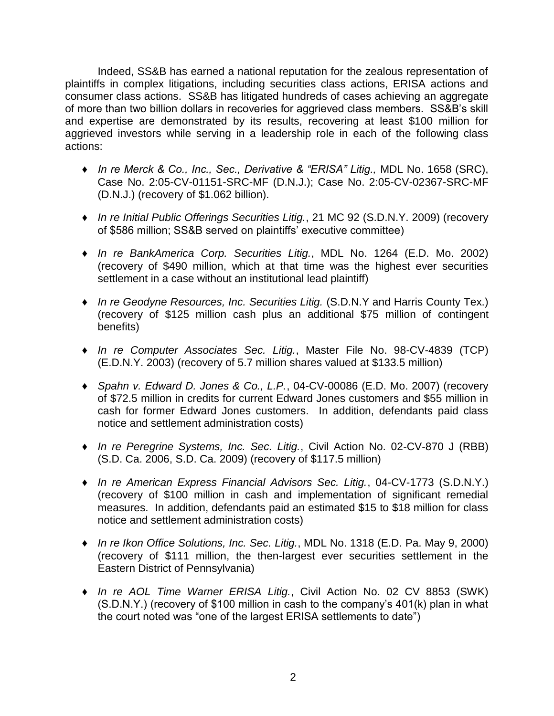Indeed, SS&B has earned a national reputation for the zealous representation of plaintiffs in complex litigations, including securities class actions, ERISA actions and consumer class actions. SS&B has litigated hundreds of cases achieving an aggregate of more than two billion dollars in recoveries for aggrieved class members. SS&B's skill and expertise are demonstrated by its results, recovering at least \$100 million for aggrieved investors while serving in a leadership role in each of the following class actions:

- ♦ *In re Merck & Co., Inc., Sec., Derivative & "ERISA" Litig.,* MDL No. 1658 (SRC), Case No. 2:05-CV-01151-SRC-MF (D.N.J.); Case No. 2:05-CV-02367-SRC-MF (D.N.J.) (recovery of \$1.062 billion).
- ♦ *In re Initial Public Offerings Securities Litig.*, 21 MC 92 (S.D.N.Y. 2009) (recovery of \$586 million; SS&B served on plaintiffs' executive committee)
- ♦ *In re BankAmerica Corp. Securities Litig.*, MDL No. 1264 (E.D. Mo. 2002) (recovery of \$490 million, which at that time was the highest ever securities settlement in a case without an institutional lead plaintiff)
- ♦ *In re Geodyne Resources, Inc. Securities Litig.* (S.D.N.Y and Harris County Tex.) (recovery of \$125 million cash plus an additional \$75 million of contingent benefits)
- ♦ *In re Computer Associates Sec. Litig.*, Master File No. 98-CV-4839 (TCP) (E.D.N.Y. 2003) (recovery of 5.7 million shares valued at \$133.5 million)
- ♦ *Spahn v. Edward D. Jones & Co., L.P.*, 04-CV-00086 (E.D. Mo. 2007) (recovery of \$72.5 million in credits for current Edward Jones customers and \$55 million in cash for former Edward Jones customers. In addition, defendants paid class notice and settlement administration costs)
- ♦ *In re Peregrine Systems, Inc. Sec. Litig.*, Civil Action No. 02-CV-870 J (RBB) (S.D. Ca. 2006, S.D. Ca. 2009) (recovery of \$117.5 million)
- ♦ *In re American Express Financial Advisors Sec. Litig.*, 04-CV-1773 (S.D.N.Y.) (recovery of \$100 million in cash and implementation of significant remedial measures. In addition, defendants paid an estimated \$15 to \$18 million for class notice and settlement administration costs)
- ♦ *In re Ikon Office Solutions, Inc. Sec. Litig.*, MDL No. 1318 (E.D. Pa. May 9, 2000) (recovery of \$111 million, the then-largest ever securities settlement in the Eastern District of Pennsylvania)
- ♦ *In re AOL Time Warner ERISA Litig.*, Civil Action No. 02 CV 8853 (SWK) (S.D.N.Y.) (recovery of \$100 million in cash to the company's 401(k) plan in what the court noted was "one of the largest ERISA settlements to date")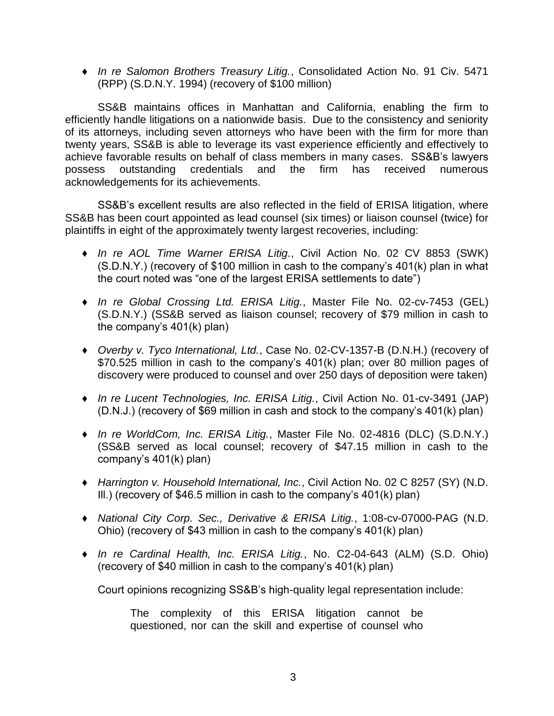♦ *In re Salomon Brothers Treasury Litig.*, Consolidated Action No. 91 Civ. 5471 (RPP) (S.D.N.Y. 1994) (recovery of \$100 million)

SS&B maintains offices in Manhattan and California, enabling the firm to efficiently handle litigations on a nationwide basis. Due to the consistency and seniority of its attorneys, including seven attorneys who have been with the firm for more than twenty years, SS&B is able to leverage its vast experience efficiently and effectively to achieve favorable results on behalf of class members in many cases. SS&B's lawyers possess outstanding credentials and the firm has received numerous acknowledgements for its achievements.

SS&B's excellent results are also reflected in the field of ERISA litigation, where SS&B has been court appointed as lead counsel (six times) or liaison counsel (twice) for plaintiffs in eight of the approximately twenty largest recoveries, including:

- ♦ *In re AOL Time Warner ERISA Litig.*, Civil Action No. 02 CV 8853 (SWK) (S.D.N.Y.) (recovery of \$100 million in cash to the company's 401(k) plan in what the court noted was "one of the largest ERISA settlements to date")
- ♦ *In re Global Crossing Ltd. ERISA Litig.*, Master File No. 02-cv-7453 (GEL) (S.D.N.Y.) (SS&B served as liaison counsel; recovery of \$79 million in cash to the company's 401(k) plan)
- ♦ *Overby v. Tyco International, Ltd.*, Case No. 02-CV-1357-B (D.N.H.) (recovery of \$70.525 million in cash to the company's 401(k) plan; over 80 million pages of discovery were produced to counsel and over 250 days of deposition were taken)
- ♦ *In re Lucent Technologies, Inc. ERISA Litig.*, Civil Action No. 01-cv-3491 (JAP) (D.N.J.) (recovery of \$69 million in cash and stock to the company's 401(k) plan)
- ♦ *In re WorldCom, Inc. ERISA Litig.*, Master File No. 02-4816 (DLC) (S.D.N.Y.) (SS&B served as local counsel; recovery of \$47.15 million in cash to the company's 401(k) plan)
- ♦ *Harrington v. Household International, Inc.*, Civil Action No. 02 C 8257 (SY) (N.D. Ill.) (recovery of \$46.5 million in cash to the company's 401(k) plan)
- ♦ *National City Corp. Sec., Derivative & ERISA Litig.*, 1:08-cv-07000-PAG (N.D. Ohio) (recovery of \$43 million in cash to the company's 401(k) plan)
- ♦ *In re Cardinal Health, Inc. ERISA Litig.*, No. C2-04-643 (ALM) (S.D. Ohio) (recovery of \$40 million in cash to the company's 401(k) plan)

Court opinions recognizing SS&B's high-quality legal representation include:

The complexity of this ERISA litigation cannot be questioned, nor can the skill and expertise of counsel who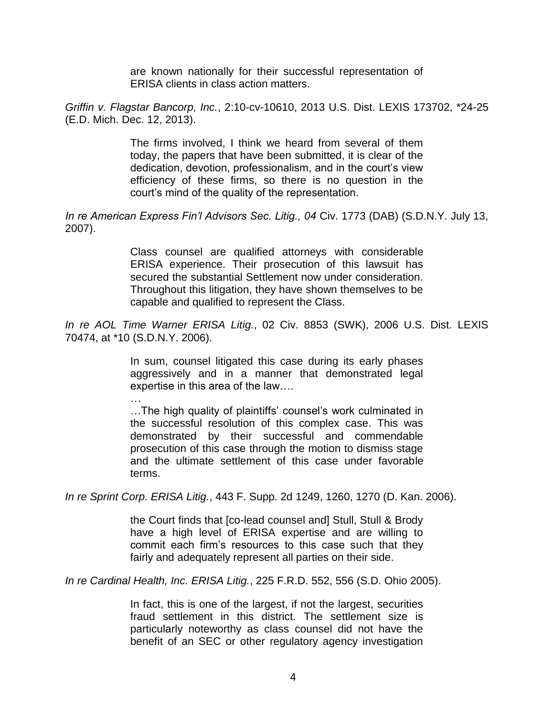are known nationally for their successful representation of ERISA clients in class action matters.

*Griffin v. Flagstar Bancorp, Inc.*, 2:10-cv-10610, 2013 U.S. Dist. LEXIS 173702, \*24-25 (E.D. Mich. Dec. 12, 2013).

> The firms involved, I think we heard from several of them today, the papers that have been submitted, it is clear of the dedication, devotion, professionalism, and in the court's view efficiency of these firms, so there is no question in the court's mind of the quality of the representation.

*In re American Express Fin'l Advisors Sec. Litig., 04* Civ. 1773 (DAB) (S.D.N.Y. July 13, 2007).

> Class counsel are qualified attorneys with considerable ERISA experience. Their prosecution of this lawsuit has secured the substantial Settlement now under consideration. Throughout this litigation, they have shown themselves to be capable and qualified to represent the Class.

*In re AOL Time Warner ERISA Litig.*, 02 Civ. 8853 (SWK), 2006 U.S. Dist. LEXIS 70474, at \*10 (S.D.N.Y. 2006).

> In sum, counsel litigated this case during its early phases aggressively and in a manner that demonstrated legal expertise in this area of the law….

> … …The high quality of plaintiffs' counsel's work culminated in the successful resolution of this complex case. This was demonstrated by their successful and commendable prosecution of this case through the motion to dismiss stage and the ultimate settlement of this case under favorable terms.

*In re Sprint Corp. ERISA Litig.*, 443 F. Supp. 2d 1249, 1260, 1270 (D. Kan. 2006).

the Court finds that [co-lead counsel and] Stull, Stull & Brody have a high level of ERISA expertise and are willing to commit each firm's resources to this case such that they fairly and adequately represent all parties on their side.

*In re Cardinal Health, Inc. ERISA Litig.*, 225 F.R.D. 552, 556 (S.D. Ohio 2005).

In fact, this is one of the largest, if not the largest, securities fraud settlement in this district. The settlement size is particularly noteworthy as class counsel did not have the benefit of an SEC or other regulatory agency investigation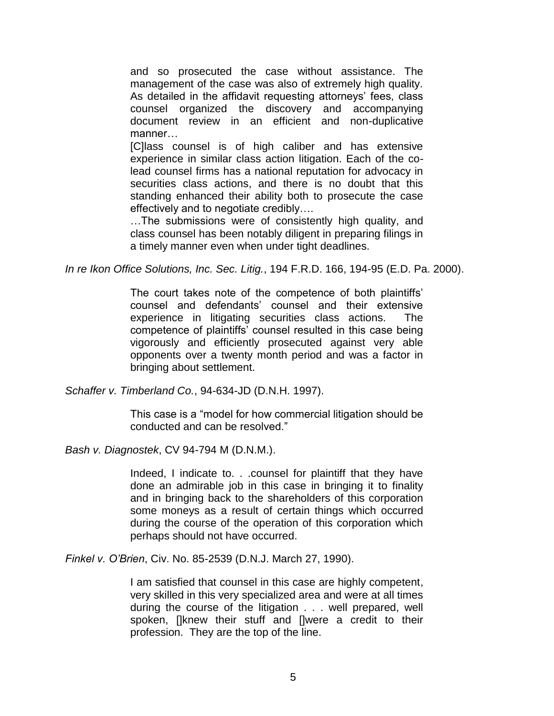and so prosecuted the case without assistance. The management of the case was also of extremely high quality. As detailed in the affidavit requesting attorneys' fees, class counsel organized the discovery and accompanying document review in an efficient and non-duplicative manner…

[C]lass counsel is of high caliber and has extensive experience in similar class action litigation. Each of the colead counsel firms has a national reputation for advocacy in securities class actions, and there is no doubt that this standing enhanced their ability both to prosecute the case effectively and to negotiate credibly….

…The submissions were of consistently high quality, and class counsel has been notably diligent in preparing filings in a timely manner even when under tight deadlines.

*In re Ikon Office Solutions, Inc. Sec. Litig.*, 194 F.R.D. 166, 194-95 (E.D. Pa. 2000).

The court takes note of the competence of both plaintiffs' counsel and defendants' counsel and their extensive experience in litigating securities class actions. The competence of plaintiffs' counsel resulted in this case being vigorously and efficiently prosecuted against very able opponents over a twenty month period and was a factor in bringing about settlement.

*Schaffer v. Timberland Co.*, 94-634-JD (D.N.H. 1997).

This case is a "model for how commercial litigation should be conducted and can be resolved."

*Bash v. Diagnostek*, CV 94-794 M (D.N.M.).

Indeed, I indicate to. . .counsel for plaintiff that they have done an admirable job in this case in bringing it to finality and in bringing back to the shareholders of this corporation some moneys as a result of certain things which occurred during the course of the operation of this corporation which perhaps should not have occurred.

*Finkel v. O'Brien*, Civ. No. 85-2539 (D.N.J. March 27, 1990).

I am satisfied that counsel in this case are highly competent, very skilled in this very specialized area and were at all times during the course of the litigation . . . well prepared, well spoken, []knew their stuff and []were a credit to their profession. They are the top of the line.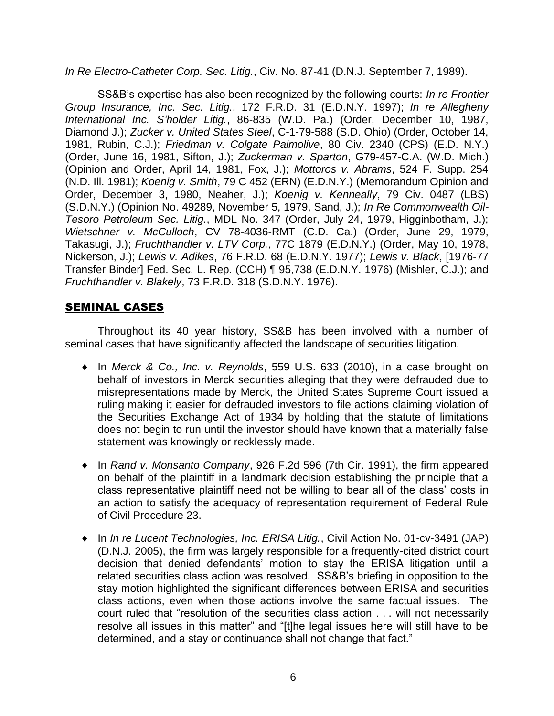#### *In Re Electro-Catheter Corp. Sec. Litig.*, Civ. No. 87-41 (D.N.J. September 7, 1989).

SS&B's expertise has also been recognized by the following courts: *In re Frontier Group Insurance, Inc. Sec. Litig.*, 172 F.R.D. 31 (E.D.N.Y. 1997); *In re Allegheny International Inc. S'holder Litig.*, 86-835 (W.D. Pa.) (Order, December 10, 1987, Diamond J.); *Zucker v. United States Steel*, C-1-79-588 (S.D. Ohio) (Order, October 14, 1981, Rubin, C.J.); *Friedman v. Colgate Palmolive*, 80 Civ. 2340 (CPS) (E.D. N.Y.) (Order, June 16, 1981, Sifton, J.); *Zuckerman v. Sparton*, G79-457-C.A. (W.D. Mich.) (Opinion and Order, April 14, 1981, Fox, J.); *Mottoros v. Abrams*, 524 F. Supp. 254 (N.D. Ill. 1981); *Koenig v. Smith*, 79 C 452 (ERN) (E.D.N.Y.) (Memorandum Opinion and Order, December 3, 1980, Neaher, J.); *Koenig v. Kenneally*, 79 Civ. 0487 (LBS) (S.D.N.Y.) (Opinion No. 49289, November 5, 1979, Sand, J.); *In Re Commonwealth Oil-Tesoro Petroleum Sec. Litig.*, MDL No. 347 (Order, July 24, 1979, Higginbotham, J.); *Wietschner v. McCulloch*, CV 78-4036-RMT (C.D. Ca.) (Order, June 29, 1979, Takasugi, J.); *Fruchthandler v. LTV Corp.*, 77C 1879 (E.D.N.Y.) (Order, May 10, 1978, Nickerson, J.); *Lewis v. Adikes*, 76 F.R.D. 68 (E.D.N.Y. 1977); *Lewis v. Black*, [1976-77 Transfer Binder] Fed. Sec. L. Rep. (CCH) ¶ 95,738 (E.D.N.Y. 1976) (Mishler, C.J.); and *Fruchthandler v. Blakely*, 73 F.R.D. 318 (S.D.N.Y. 1976).

## SEMINAL CASES

Throughout its 40 year history, SS&B has been involved with a number of seminal cases that have significantly affected the landscape of securities litigation.

- ♦ In *Merck & Co., Inc. v. Reynolds*, 559 U.S. 633 (2010), in a case brought on behalf of investors in Merck securities alleging that they were defrauded due to misrepresentations made by Merck, the United States Supreme Court issued a ruling making it easier for defrauded investors to file actions claiming violation of the Securities Exchange Act of 1934 by holding that the statute of limitations does not begin to run until the investor should have known that a materially false statement was knowingly or recklessly made.
- ♦ In *Rand v. Monsanto Company*, 926 F.2d 596 (7th Cir. 1991), the firm appeared on behalf of the plaintiff in a landmark decision establishing the principle that a class representative plaintiff need not be willing to bear all of the class' costs in an action to satisfy the adequacy of representation requirement of Federal Rule of Civil Procedure 23.
- ♦ In *In re Lucent Technologies, Inc. ERISA Litig.*, Civil Action No. 01-cv-3491 (JAP) (D.N.J. 2005), the firm was largely responsible for a frequently-cited district court decision that denied defendants' motion to stay the ERISA litigation until a related securities class action was resolved. SS&B's briefing in opposition to the stay motion highlighted the significant differences between ERISA and securities class actions, even when those actions involve the same factual issues. The court ruled that "resolution of the securities class action . . . will not necessarily resolve all issues in this matter" and "[t]he legal issues here will still have to be determined, and a stay or continuance shall not change that fact."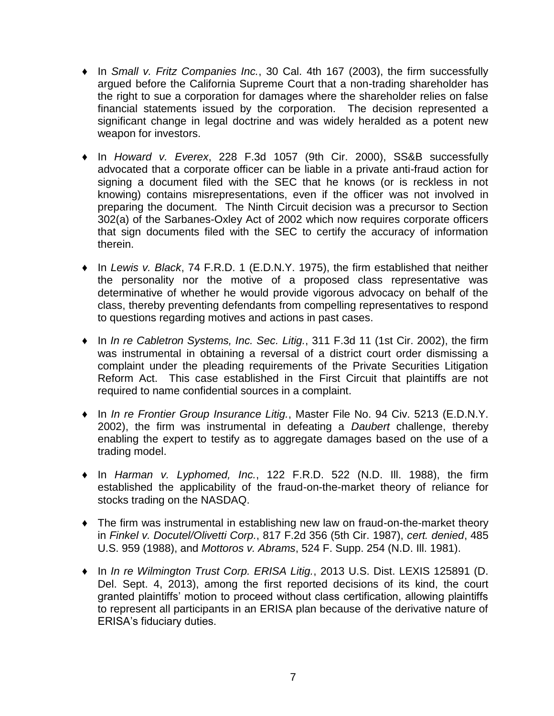- ♦ In *Small v. Fritz Companies Inc.*, 30 Cal. 4th 167 (2003), the firm successfully argued before the California Supreme Court that a non-trading shareholder has the right to sue a corporation for damages where the shareholder relies on false financial statements issued by the corporation. The decision represented a significant change in legal doctrine and was widely heralded as a potent new weapon for investors.
- ♦ In *Howard v. Everex*, 228 F.3d 1057 (9th Cir. 2000), SS&B successfully advocated that a corporate officer can be liable in a private anti-fraud action for signing a document filed with the SEC that he knows (or is reckless in not knowing) contains misrepresentations, even if the officer was not involved in preparing the document. The Ninth Circuit decision was a precursor to Section 302(a) of the Sarbanes-Oxley Act of 2002 which now requires corporate officers that sign documents filed with the SEC to certify the accuracy of information therein.
- ♦ In *Lewis v. Black*, 74 F.R.D. 1 (E.D.N.Y. 1975), the firm established that neither the personality nor the motive of a proposed class representative was determinative of whether he would provide vigorous advocacy on behalf of the class, thereby preventing defendants from compelling representatives to respond to questions regarding motives and actions in past cases.
- ♦ In *In re Cabletron Systems, Inc. Sec. Litig.*, 311 F.3d 11 (1st Cir. 2002), the firm was instrumental in obtaining a reversal of a district court order dismissing a complaint under the pleading requirements of the Private Securities Litigation Reform Act. This case established in the First Circuit that plaintiffs are not required to name confidential sources in a complaint.
- ♦ In *In re Frontier Group Insurance Litig.*, Master File No. 94 Civ. 5213 (E.D.N.Y. 2002), the firm was instrumental in defeating a *Daubert* challenge, thereby enabling the expert to testify as to aggregate damages based on the use of a trading model.
- ♦ In *Harman v. Lyphomed, Inc.*, 122 F.R.D. 522 (N.D. Ill. 1988), the firm established the applicability of the fraud-on-the-market theory of reliance for stocks trading on the NASDAQ.
- ♦ The firm was instrumental in establishing new law on fraud-on-the-market theory in *Finkel v. Docutel/Olivetti Corp.*, 817 F.2d 356 (5th Cir. 1987), *cert. denied*, 485 U.S. 959 (1988), and *Mottoros v. Abrams*, 524 F. Supp. 254 (N.D. Ill. 1981).
- ♦ In *In re Wilmington Trust Corp. ERISA Litig.*, 2013 U.S. Dist. LEXIS 125891 (D. Del. Sept. 4, 2013), among the first reported decisions of its kind, the court granted plaintiffs' motion to proceed without class certification, allowing plaintiffs to represent all participants in an ERISA plan because of the derivative nature of ERISA's fiduciary duties.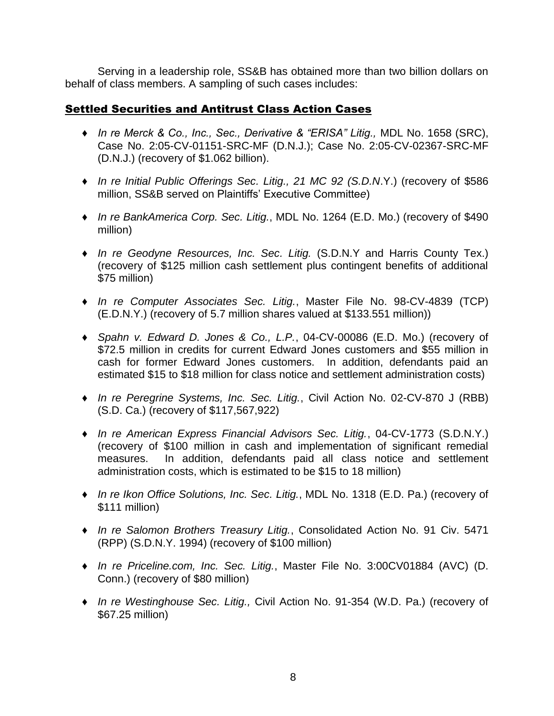Serving in a leadership role, SS&B has obtained more than two billion dollars on behalf of class members. A sampling of such cases includes:

## Settled Securities and Antitrust Class Action Cases

- ♦ *In re Merck & Co., Inc., Sec., Derivative & "ERISA" Litig.,* MDL No. 1658 (SRC), Case No. 2:05-CV-01151-SRC-MF (D.N.J.); Case No. 2:05-CV-02367-SRC-MF (D.N.J.) (recovery of \$1.062 billion).
- ♦ *In re Initial Public Offerings Sec. Litig., 21 MC 92 (S.D.N*.Y.) (recovery of \$586 million, SS&B served on Plaintiffs' Executive Committe*e*)
- ♦ *In re BankAmerica Corp. Sec. Litig.*, MDL No. 1264 (E.D. Mo.) (recovery of \$490 million)
- ♦ *In re Geodyne Resources, Inc. Sec. Litig.* (S.D.N.Y and Harris County Tex.) (recovery of \$125 million cash settlement plus contingent benefits of additional \$75 million)
- ♦ *In re Computer Associates Sec. Litig.*, Master File No. 98-CV-4839 (TCP) (E.D.N.Y.) (recovery of 5.7 million shares valued at \$133.551 million))
- ♦ *Spahn v. Edward D. Jones & Co., L.P.*, 04-CV-00086 (E.D. Mo.) (recovery of \$72.5 million in credits for current Edward Jones customers and \$55 million in cash for former Edward Jones customers. In addition, defendants paid an estimated \$15 to \$18 million for class notice and settlement administration costs)
- ♦ *In re Peregrine Systems, Inc. Sec. Litig.*, Civil Action No. 02-CV-870 J (RBB) (S.D. Ca.) (recovery of \$117,567,922)
- ♦ *In re American Express Financial Advisors Sec. Litig.*, 04-CV-1773 (S.D.N.Y.) (recovery of \$100 million in cash and implementation of significant remedial measures. In addition, defendants paid all class notice and settlement administration costs, which is estimated to be \$15 to 18 million)
- ♦ *In re Ikon Office Solutions, Inc. Sec. Litig.*, MDL No. 1318 (E.D. Pa.) (recovery of \$111 million)
- ♦ *In re Salomon Brothers Treasury Litig.*, Consolidated Action No. 91 Civ. 5471 (RPP) (S.D.N.Y. 1994) (recovery of \$100 million)
- ♦ *In re Priceline.com, Inc. Sec. Litig.*, Master File No. 3:00CV01884 (AVC) (D. Conn.) (recovery of \$80 million)
- ♦ *In re Westinghouse Sec. Litig.,* Civil Action No. 91-354 (W.D. Pa.) (recovery of \$67.25 million)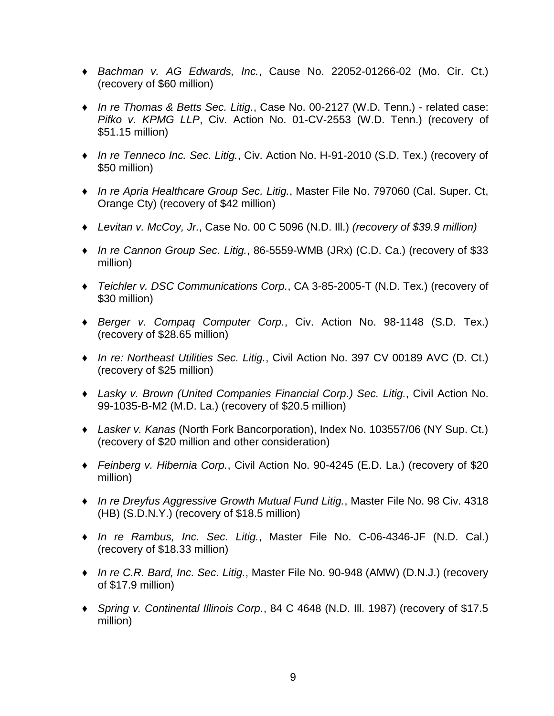- ♦ *Bachman v. AG Edwards, Inc.*, Cause No. 22052-01266-02 (Mo. Cir. Ct.) (recovery of \$60 million)
- ♦ *In re Thomas & Betts Sec. Litig.*, Case No. 00-2127 (W.D. Tenn.) related case: *Pifko v. KPMG LLP*, Civ. Action No. 01-CV-2553 (W.D. Tenn.) (recovery of \$51.15 million)
- ♦ *In re Tenneco Inc. Sec. Litig.*, Civ. Action No. H-91-2010 (S.D. Tex.) (recovery of \$50 million)
- ♦ *In re Apria Healthcare Group Sec. Litig.*, Master File No. 797060 (Cal. Super. Ct, Orange Cty) (recovery of \$42 million)
- ♦ *Levitan v. McCoy, Jr.*, Case No. 00 C 5096 (N.D. Ill.) *(recovery of \$39.9 million)*
- ♦ *In re Cannon Group Sec. Litig.*, 86-5559-WMB (JRx) (C.D. Ca.) (recovery of \$33 million)
- ♦ *Teichler v. DSC Communications Corp.*, CA 3-85-2005-T (N.D. Tex.) (recovery of \$30 million)
- ♦ *Berger v. Compaq Computer Corp.*, Civ. Action No. 98-1148 (S.D. Tex.) (recovery of \$28.65 million)
- ♦ *In re: Northeast Utilities Sec. Litig.*, Civil Action No. 397 CV 00189 AVC (D. Ct.) (recovery of \$25 million)
- ♦ *Lasky v. Brown (United Companies Financial Corp.) Sec. Litig.*, Civil Action No. 99-1035-B-M2 (M.D. La.) (recovery of \$20.5 million)
- ♦ *Lasker v. Kanas* (North Fork Bancorporation), Index No. 103557/06 (NY Sup. Ct.) (recovery of \$20 million and other consideration)
- ♦ *Feinberg v. Hibernia Corp.*, Civil Action No. 90-4245 (E.D. La.) (recovery of \$20 million)
- ♦ *In re Dreyfus Aggressive Growth Mutual Fund Litig.*, Master File No. 98 Civ. 4318 (HB) (S.D.N.Y.) (recovery of \$18.5 million)
- ♦ *In re Rambus, Inc. Sec. Litig.*, Master File No. C-06-4346-JF (N.D. Cal.) (recovery of \$18.33 million)
- ♦ *In re C.R. Bard, Inc. Sec. Litig.*, Master File No. 90-948 (AMW) (D.N.J.) (recovery of \$17.9 million)
- ♦ *Spring v. Continental Illinois Corp.*, 84 C 4648 (N.D. Ill. 1987) (recovery of \$17.5 million)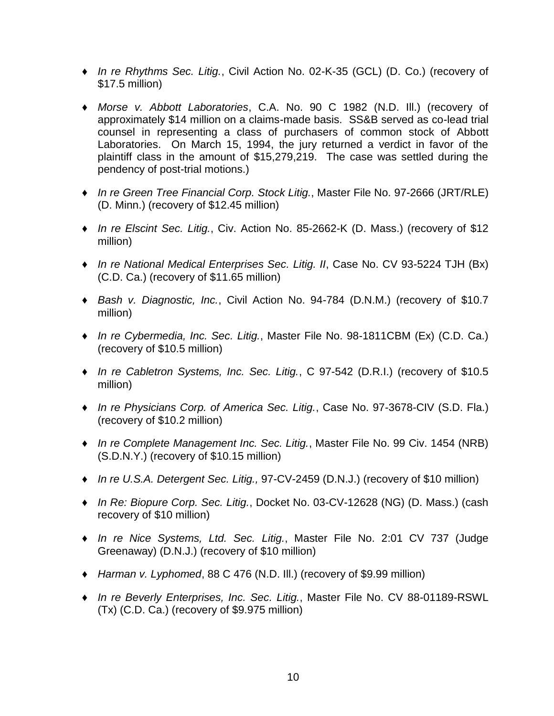- ♦ *In re Rhythms Sec. Litig.*, Civil Action No. 02-K-35 (GCL) (D. Co.) (recovery of \$17.5 million)
- ♦ *Morse v. Abbott Laboratories*, C.A. No. 90 C 1982 (N.D. Ill.) (recovery of approximately \$14 million on a claims-made basis. SS&B served as co-lead trial counsel in representing a class of purchasers of common stock of Abbott Laboratories. On March 15, 1994, the jury returned a verdict in favor of the plaintiff class in the amount of \$15,279,219. The case was settled during the pendency of post-trial motions.)
- ♦ *In re Green Tree Financial Corp. Stock Litig.*, Master File No. 97-2666 (JRT/RLE) (D. Minn.) (recovery of \$12.45 million)
- ♦ *In re Elscint Sec. Litig.*, Civ. Action No. 85-2662-K (D. Mass.) (recovery of \$12 million)
- ♦ *In re National Medical Enterprises Sec. Litig. II*, Case No. CV 93-5224 TJH (Bx) (C.D. Ca.) (recovery of \$11.65 million)
- ♦ *Bash v. Diagnostic, Inc.*, Civil Action No. 94-784 (D.N.M.) (recovery of \$10.7 million)
- ♦ *In re Cybermedia, Inc. Sec. Litig.*, Master File No. 98-1811CBM (Ex) (C.D. Ca.) (recovery of \$10.5 million)
- ♦ *In re Cabletron Systems, Inc. Sec. Litig.*, C 97-542 (D.R.I.) (recovery of \$10.5 million)
- ♦ *In re Physicians Corp. of America Sec. Litig.*, Case No. 97-3678-CIV (S.D. Fla.) (recovery of \$10.2 million)
- ♦ *In re Complete Management Inc. Sec. Litig.*, Master File No. 99 Civ. 1454 (NRB) (S.D.N.Y.) (recovery of \$10.15 million)
- ♦ *In re U.S.A. Detergent Sec. Litig.,* 97-CV-2459 (D.N.J.) (recovery of \$10 million)
- ♦ *In Re: Biopure Corp. Sec. Litig.*, Docket No. 03-CV-12628 (NG) (D. Mass.) (cash recovery of \$10 million)
- ♦ *In re Nice Systems, Ltd. Sec. Litig.*, Master File No. 2:01 CV 737 (Judge Greenaway) (D.N.J.) (recovery of \$10 million)
- ♦ *Harman v. Lyphomed*, 88 C 476 (N.D. Ill.) (recovery of \$9.99 million)
- ♦ *In re Beverly Enterprises, Inc. Sec. Litig.*, Master File No. CV 88-01189-RSWL (Tx) (C.D. Ca.) (recovery of \$9.975 million)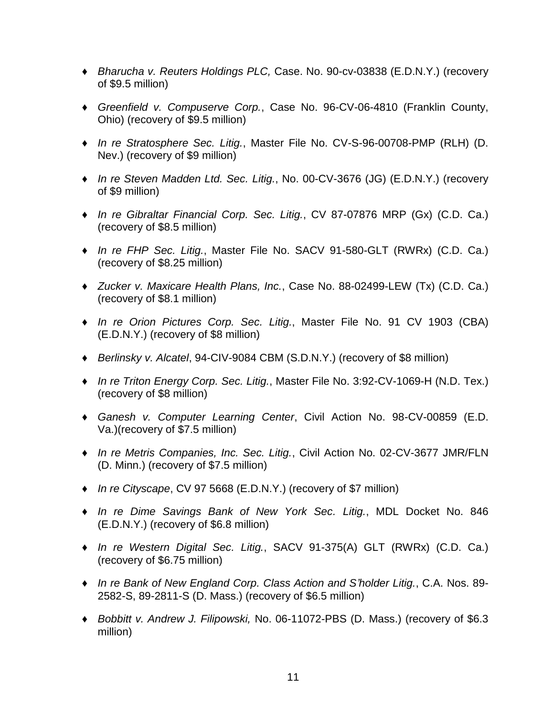- ♦ *Bharucha v. Reuters Holdings PLC,* Case. No. 90-cv-03838 (E.D.N.Y.) (recovery of \$9.5 million)
- ♦ *Greenfield v. Compuserve Corp.*, Case No. 96-CV-06-4810 (Franklin County, Ohio) (recovery of \$9.5 million)
- ♦ *In re Stratosphere Sec. Litig.*, Master File No. CV-S-96-00708-PMP (RLH) (D. Nev.) (recovery of \$9 million)
- ♦ *In re Steven Madden Ltd. Sec. Litig.*, No. 00-CV-3676 (JG) (E.D.N.Y.) (recovery of \$9 million)
- ♦ *In re Gibraltar Financial Corp. Sec. Litig.*, CV 87-07876 MRP (Gx) (C.D. Ca.) (recovery of \$8.5 million)
- ♦ *In re FHP Sec. Litig.*, Master File No. SACV 91-580-GLT (RWRx) (C.D. Ca.) (recovery of \$8.25 million)
- ♦ *Zucker v. Maxicare Health Plans, Inc.*, Case No. 88-02499-LEW (Tx) (C.D. Ca.) (recovery of \$8.1 million)
- ♦ *In re Orion Pictures Corp. Sec. Litig.*, Master File No. 91 CV 1903 (CBA) (E.D.N.Y.) (recovery of \$8 million)
- ♦ *Berlinsky v. Alcatel*, 94-CIV-9084 CBM (S.D.N.Y.) (recovery of \$8 million)
- ♦ *In re Triton Energy Corp. Sec. Litig.*, Master File No. 3:92-CV-1069-H (N.D. Tex.) (recovery of \$8 million)
- ♦ *Ganesh v. Computer Learning Center*, Civil Action No. 98-CV-00859 (E.D. Va.)(recovery of \$7.5 million)
- ♦ *In re Metris Companies, Inc. Sec. Litig.*, Civil Action No. 02-CV-3677 JMR/FLN (D. Minn.) (recovery of \$7.5 million)
- ♦ *In re Cityscape*, CV 97 5668 (E.D.N.Y.) (recovery of \$7 million)
- ♦ *In re Dime Savings Bank of New York Sec. Litig.*, MDL Docket No. 846 (E.D.N.Y.) (recovery of \$6.8 million)
- ♦ *In re Western Digital Sec. Litig.*, SACV 91-375(A) GLT (RWRx) (C.D. Ca.) (recovery of \$6.75 million)
- ♦ *In re Bank of New England Corp. Class Action and S'holder Litig.*, C.A. Nos. 89- 2582-S, 89-2811-S (D. Mass.) (recovery of \$6.5 million)
- ♦ *Bobbitt v. Andrew J. Filipowski,* No. 06-11072-PBS (D. Mass.) (recovery of \$6.3 million)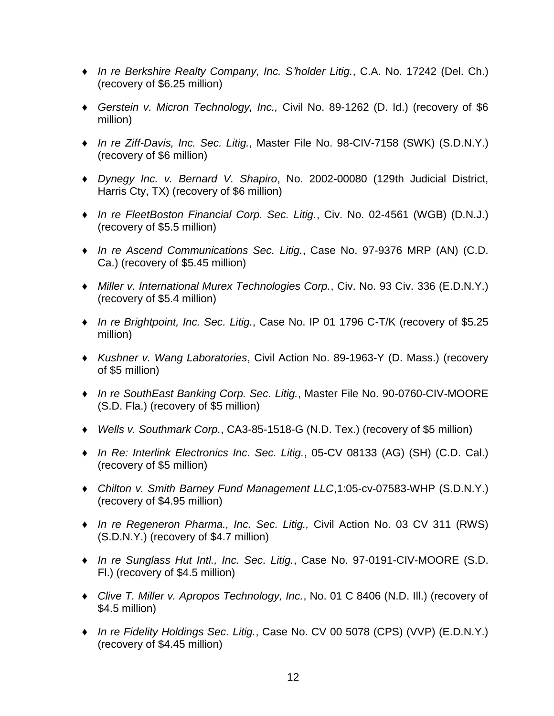- ♦ *In re Berkshire Realty Company, Inc. S'holder Litig.*, C.A. No. 17242 (Del. Ch.) (recovery of \$6.25 million)
- ♦ *Gerstein v. Micron Technology, Inc.,* Civil No. 89-1262 (D. Id.) (recovery of \$6 million)
- ♦ *In re Ziff-Davis, Inc. Sec. Litig.*, Master File No. 98-CIV-7158 (SWK) (S.D.N.Y.) (recovery of \$6 million)
- ♦ *Dynegy Inc. v. Bernard V. Shapiro*, No. 2002-00080 (129th Judicial District, Harris Cty, TX) (recovery of \$6 million)
- ♦ *In re FleetBoston Financial Corp. Sec. Litig.*, Civ. No. 02-4561 (WGB) (D.N.J.) (recovery of \$5.5 million)
- ♦ *In re Ascend Communications Sec. Litig.*, Case No. 97-9376 MRP (AN) (C.D. Ca.) (recovery of \$5.45 million)
- ♦ *Miller v. International Murex Technologies Corp.*, Civ. No. 93 Civ. 336 (E.D.N.Y.) (recovery of \$5.4 million)
- ♦ *In re Brightpoint, Inc. Sec. Litig.*, Case No. IP 01 1796 C-T/K (recovery of \$5.25 million)
- ♦ *Kushner v. Wang Laboratories*, Civil Action No. 89-1963-Y (D. Mass.) (recovery of \$5 million)
- ♦ *In re SouthEast Banking Corp. Sec. Litig.*, Master File No. 90-0760-CIV-MOORE (S.D. Fla.) (recovery of \$5 million)
- ♦ *Wells v. Southmark Corp.*, CA3-85-1518-G (N.D. Tex.) (recovery of \$5 million)
- ♦ *In Re: Interlink Electronics Inc. Sec. Litig.*, 05-CV 08133 (AG) (SH) (C.D. Cal.) (recovery of \$5 million)
- ♦ *Chilton v. Smith Barney Fund Management LLC*,1:05-cv-07583-WHP (S.D.N.Y.) (recovery of \$4.95 million)
- ♦ *In re Regeneron Pharma., Inc. Sec. Litig.,* Civil Action No. 03 CV 311 (RWS) (S.D.N.Y.) (recovery of \$4.7 million)
- ♦ *In re Sunglass Hut Intl., Inc. Sec. Litig.*, Case No. 97-0191-CIV-MOORE (S.D. Fl.) (recovery of \$4.5 million)
- ♦ *Clive T. Miller v. Apropos Technology, Inc.*, No. 01 C 8406 (N.D. Ill.) (recovery of \$4.5 million)
- ♦ *In re Fidelity Holdings Sec. Litig.*, Case No. CV 00 5078 (CPS) (VVP) (E.D.N.Y.) (recovery of \$4.45 million)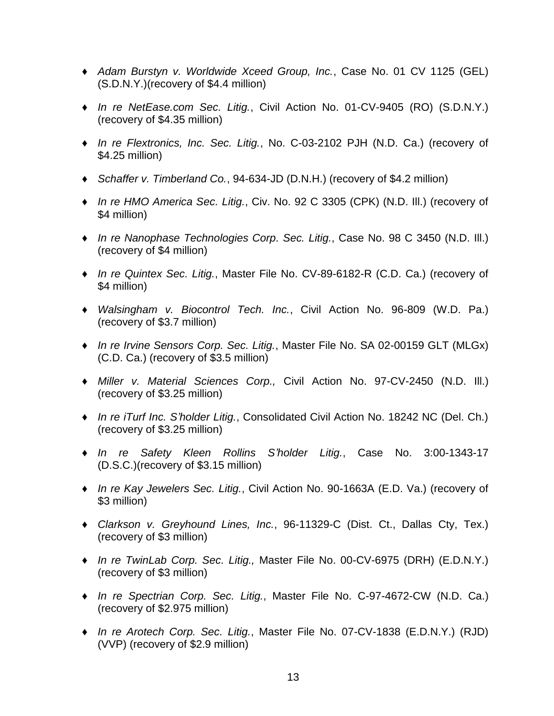- ♦ *Adam Burstyn v. Worldwide Xceed Group, Inc.*, Case No. 01 CV 1125 (GEL) (S.D.N.Y.)(recovery of \$4.4 million)
- ♦ *In re NetEase.com Sec. Litig.*, Civil Action No. 01-CV-9405 (RO) (S.D.N.Y.) (recovery of \$4.35 million)
- ♦ *In re Flextronics, Inc. Sec. Litig.*, No. C-03-2102 PJH (N.D. Ca.) (recovery of \$4.25 million)
- ♦ *Schaffer v. Timberland Co.*, 94-634-JD (D.N.H.) (recovery of \$4.2 million)
- ♦ *In re HMO America Sec. Litig.*, Civ. No. 92 C 3305 (CPK) (N.D. Ill.) (recovery of \$4 million)
- ♦ *In re Nanophase Technologies Corp. Sec. Litig.*, Case No. 98 C 3450 (N.D. Ill.) (recovery of \$4 million)
- ♦ *In re Quintex Sec. Litig.*, Master File No. CV-89-6182-R (C.D. Ca.) (recovery of \$4 million)
- ♦ *Walsingham v. Biocontrol Tech. Inc.*, Civil Action No. 96-809 (W.D. Pa.) (recovery of \$3.7 million)
- ♦ *In re Irvine Sensors Corp. Sec. Litig.*, Master File No. SA 02-00159 GLT (MLGx) (C.D. Ca.) (recovery of \$3.5 million)
- ♦ *Miller v. Material Sciences Corp.,* Civil Action No. 97-CV-2450 (N.D. Ill.) (recovery of \$3.25 million)
- ♦ *In re iTurf Inc. S'holder Litig.*, Consolidated Civil Action No. 18242 NC (Del. Ch.) (recovery of \$3.25 million)
- ♦ *In re Safety Kleen Rollins S'holder Litig.*, Case No. 3:00-1343-17 (D.S.C.)(recovery of \$3.15 million)
- ♦ *In re Kay Jewelers Sec. Litig.*, Civil Action No. 90-1663A (E.D. Va.) (recovery of \$3 million)
- ♦ *Clarkson v. Greyhound Lines, Inc.*, 96-11329-C (Dist. Ct., Dallas Cty, Tex.) (recovery of \$3 million)
- ♦ *In re TwinLab Corp. Sec. Litig.,* Master File No. 00-CV-6975 (DRH) (E.D.N.Y.) (recovery of \$3 million)
- ♦ *In re Spectrian Corp. Sec. Litig.*, Master File No. C-97-4672-CW (N.D. Ca.) (recovery of \$2.975 million)
- ♦ *In re Arotech Corp. Sec. Litig.*, Master File No. 07-CV-1838 (E.D.N.Y.) (RJD) (VVP) (recovery of \$2.9 million)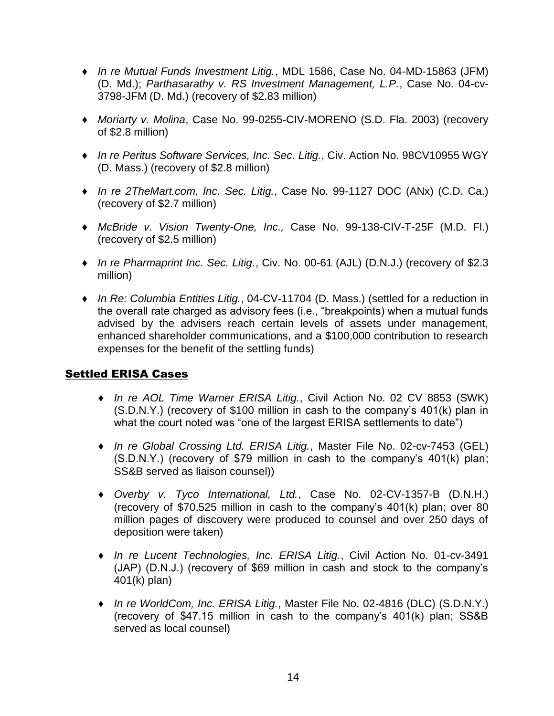- ♦ *In re Mutual Funds Investment Litig.*, MDL 1586, Case No. 04-MD-15863 (JFM) (D. Md.); *Parthasarathy v. RS Investment Management, L.P.*, Case No. 04-cv-3798-JFM (D. Md.) (recovery of \$2.83 million)
- ♦ *Moriarty v. Molina*, Case No. 99-0255-CIV-MORENO (S.D. Fla. 2003) (recovery of \$2.8 million)
- ♦ *In re Peritus Software Services, Inc. Sec. Litig.*, Civ. Action No. 98CV10955 WGY (D. Mass.) (recovery of \$2.8 million)
- ♦ *In re 2TheMart.com, Inc. Sec. Litig.*, Case No. 99-1127 DOC (ANx) (C.D. Ca.) (recovery of \$2.7 million)
- ♦ *McBride v. Vision Twenty-One, Inc.,* Case No. 99-138-CIV-T-25F (M.D. Fl.) (recovery of \$2.5 million)
- ♦ *In re Pharmaprint Inc. Sec. Litig.*, Civ. No. 00-61 (AJL) (D.N.J.) (recovery of \$2.3 million)
- ♦ *In Re: Columbia Entities Litig.*, 04-CV-11704 (D. Mass.) (settled for a reduction in the overall rate charged as advisory fees (i.e., "breakpoints) when a mutual funds advised by the advisers reach certain levels of assets under management, enhanced shareholder communications, and a \$100,000 contribution to research expenses for the benefit of the settling funds)

# Settled ERISA Cases

- ♦ *In re AOL Time Warner ERISA Litig.*, Civil Action No. 02 CV 8853 (SWK) (S.D.N.Y.) (recovery of \$100 million in cash to the company's 401(k) plan in what the court noted was "one of the largest ERISA settlements to date")
- ♦ *In re Global Crossing Ltd. ERISA Litig.*, Master File No. 02-cv-7453 (GEL) (S.D.N.Y.) (recovery of \$79 million in cash to the company's 401(k) plan; SS&B served as liaison counsel))
- ♦ *Overby v. Tyco International, Ltd.*, Case No. 02-CV-1357-B (D.N.H.) (recovery of \$70.525 million in cash to the company's 401(k) plan; over 80 million pages of discovery were produced to counsel and over 250 days of deposition were taken)
- ♦ *In re Lucent Technologies, Inc. ERISA Litig.*, Civil Action No. 01-cv-3491 (JAP) (D.N.J.) (recovery of \$69 million in cash and stock to the company's 401(k) plan)
- ♦ *In re WorldCom, Inc. ERISA Litig.*, Master File No. 02-4816 (DLC) (S.D.N.Y.) (recovery of \$47.15 million in cash to the company's 401(k) plan; SS&B served as local counsel)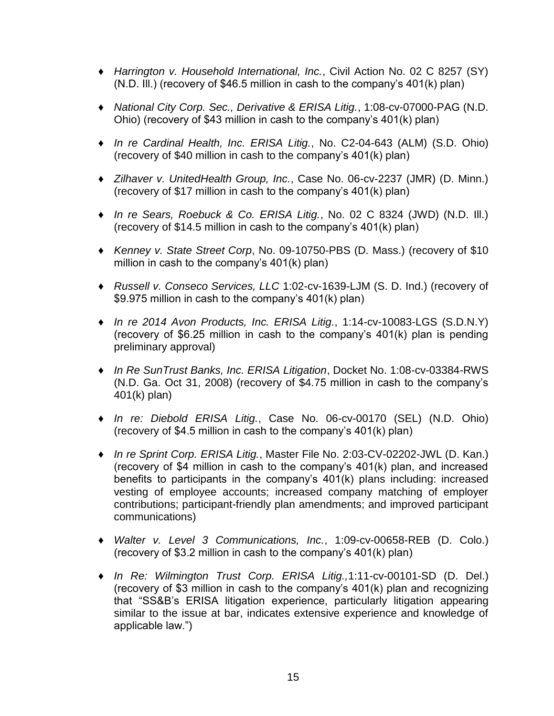- ♦ *Harrington v. Household International, Inc.*, Civil Action No. 02 C 8257 (SY) (N.D. Ill.) (recovery of \$46.5 million in cash to the company's 401(k) plan)
- ♦ *National City Corp. Sec., Derivative & ERISA Litig.*, 1:08-cv-07000-PAG (N.D. Ohio) (recovery of \$43 million in cash to the company's 401(k) plan)
- ♦ *In re Cardinal Health, Inc. ERISA Litig.*, No. C2-04-643 (ALM) (S.D. Ohio) (recovery of \$40 million in cash to the company's 401(k) plan)
- ♦ *Zilhaver v. UnitedHealth Group, Inc.*, Case No. 06-cv-2237 (JMR) (D. Minn.) (recovery of \$17 million in cash to the company's 401(k) plan)
- ♦ *In re Sears, Roebuck & Co. ERISA Litig.*, No. 02 C 8324 (JWD) (N.D. Ill.) (recovery of \$14.5 million in cash to the company's 401(k) plan)
- ♦ *Kenney v. State Street Corp*, No. 09-10750-PBS (D. Mass.) (recovery of \$10 million in cash to the company's 401(k) plan)
- ♦ *Russell v. Conseco Services, LLC* 1:02-cv-1639-LJM (S. D. Ind.) (recovery of \$9.975 million in cash to the company's 401(k) plan)
- ♦ *In re 2014 Avon Products, Inc. ERISA Litig.*, 1:14-cv-10083-LGS (S.D.N.Y) (recovery of \$6.25 million in cash to the company's 401(k) plan is pending preliminary approval)
- ♦ *In Re SunTrust Banks, Inc. ERISA Litigation*, Docket No. 1:08-cv-03384-RWS (N.D. Ga. Oct 31, 2008) (recovery of \$4.75 million in cash to the company's 401(k) plan)
- ♦ *In re: Diebold ERISA Litig.*, Case No. 06-cv-00170 (SEL) (N.D. Ohio) (recovery of \$4.5 million in cash to the company's 401(k) plan)
- ♦ *In re Sprint Corp. ERISA Litig.*, Master File No. 2:03-CV-02202-JWL (D. Kan.) (recovery of \$4 million in cash to the company's 401(k) plan, and increased benefits to participants in the company's 401(k) plans including: increased vesting of employee accounts; increased company matching of employer contributions; participant-friendly plan amendments; and improved participant communications)
- ♦ *Walter v. Level 3 Communications, Inc.*, 1:09-cv-00658-REB (D. Colo.) (recovery of \$3.2 million in cash to the company's 401(k) plan)
- ♦ *In Re: Wilmington Trust Corp. ERISA Litig.,*1:11-cv-00101-SD (D. Del.) (recovery of \$3 million in cash to the company's 401(k) plan and recognizing that "SS&B's ERISA litigation experience, particularly litigation appearing similar to the issue at bar, indicates extensive experience and knowledge of applicable law.")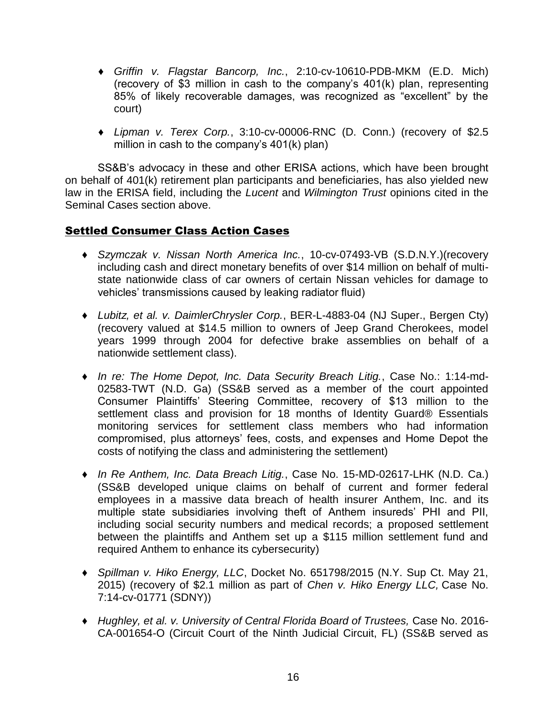- ♦ *Griffin v. Flagstar Bancorp, Inc.*, 2:10-cv-10610-PDB-MKM (E.D. Mich) (recovery of \$3 million in cash to the company's 401(k) plan, representing 85% of likely recoverable damages, was recognized as "excellent" by the court)
- ♦ *Lipman v. Terex Corp.*, 3:10-cv-00006-RNC (D. Conn.) (recovery of \$2.5 million in cash to the company's 401(k) plan)

SS&B's advocacy in these and other ERISA actions, which have been brought on behalf of 401(k) retirement plan participants and beneficiaries, has also yielded new law in the ERISA field, including the *Lucent* and *Wilmington Trust* opinions cited in the Seminal Cases section above.

## Settled Consumer Class Action Cases

- ♦ *Szymczak v. Nissan North America Inc.*, 10-cv-07493-VB (S.D.N.Y.)(recovery including cash and direct monetary benefits of over \$14 million on behalf of multistate nationwide class of car owners of certain Nissan vehicles for damage to vehicles' transmissions caused by leaking radiator fluid)
- ♦ *Lubitz, et al. v. DaimlerChrysler Corp.*, BER-L-4883-04 (NJ Super., Bergen Cty) (recovery valued at \$14.5 million to owners of Jeep Grand Cherokees, model years 1999 through 2004 for defective brake assemblies on behalf of a nationwide settlement class).
- ♦ *In re: The Home Depot, Inc. Data Security Breach Litig.*, Case No.: 1:14-md-02583-TWT (N.D. Ga) (SS&B served as a member of the court appointed Consumer Plaintiffs' Steering Committee, recovery of \$13 million to the settlement class and provision for 18 months of Identity Guard® Essentials monitoring services for settlement class members who had information compromised, plus attorneys' fees, costs, and expenses and Home Depot the costs of notifying the class and administering the settlement)
- ♦ *In Re Anthem, Inc. Data Breach Litig.*, Case No. 15-MD-02617-LHK (N.D. Ca.) (SS&B developed unique claims on behalf of current and former federal employees in a massive data breach of health insurer Anthem, Inc. and its multiple state subsidiaries involving theft of Anthem insureds' PHI and PII, including social security numbers and medical records; a proposed settlement between the plaintiffs and Anthem set up a \$115 million settlement fund and required Anthem to enhance its cybersecurity)
- ♦ *Spillman v. Hiko Energy, LLC*, Docket No. 651798/2015 (N.Y. Sup Ct. May 21, 2015) (recovery of \$2.1 million as part of *Chen v. Hiko Energy LLC,* Case No. 7:14-cv-01771 (SDNY))
- ♦ *Hughley, et al. v. University of Central Florida Board of Trustees,* Case No. 2016- CA-001654-O (Circuit Court of the Ninth Judicial Circuit, FL) (SS&B served as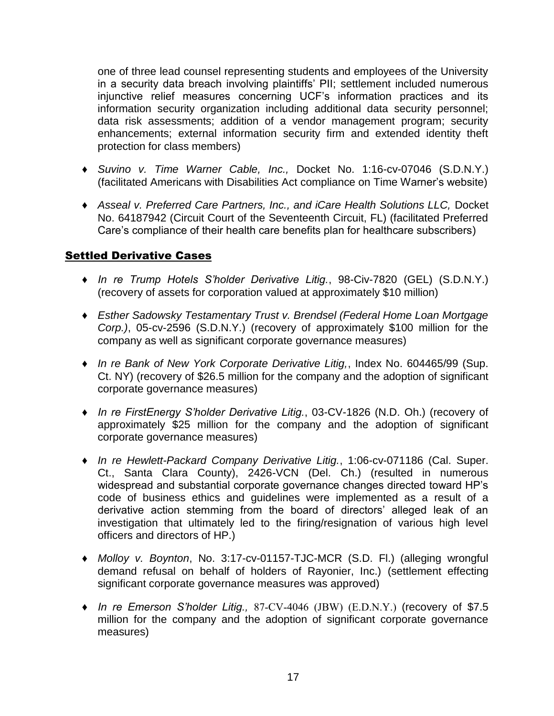one of three lead counsel representing students and employees of the University in a security data breach involving plaintiffs' PII; settlement included numerous injunctive relief measures concerning UCF's information practices and its information security organization including additional data security personnel; data risk assessments; addition of a vendor management program; security enhancements; external information security firm and extended identity theft protection for class members)

- ♦ *Suvino v. Time Warner Cable, Inc.,* Docket No. 1:16-cv-07046 (S.D.N.Y.) (facilitated Americans with Disabilities Act compliance on Time Warner's website)
- ♦ *Asseal v. Preferred Care Partners, Inc., and iCare Health Solutions LLC,* Docket No. 64187942 (Circuit Court of the Seventeenth Circuit, FL) (facilitated Preferred Care's compliance of their health care benefits plan for healthcare subscribers)

## Settled Derivative Cases

- ♦ *In re Trump Hotels S'holder Derivative Litig.*, 98-Civ-7820 (GEL) (S.D.N.Y.) (recovery of assets for corporation valued at approximately \$10 million)
- ♦ *Esther Sadowsky Testamentary Trust v. Brendsel (Federal Home Loan Mortgage Corp.)*, 05-cv-2596 (S.D.N.Y.) (recovery of approximately \$100 million for the company as well as significant corporate governance measures)
- ♦ *In re Bank of New York Corporate Derivative Litig,*, Index No. 604465/99 (Sup. Ct. NY) (recovery of \$26.5 million for the company and the adoption of significant corporate governance measures)
- ♦ *In re FirstEnergy S'holder Derivative Litig.*, 03-CV-1826 (N.D. Oh.) (recovery of approximately \$25 million for the company and the adoption of significant corporate governance measures)
- ♦ *In re Hewlett-Packard Company Derivative Litig.*, 1:06-cv-071186 (Cal. Super. Ct., Santa Clara County), 2426-VCN (Del. Ch.) (resulted in numerous widespread and substantial corporate governance changes directed toward HP's code of business ethics and guidelines were implemented as a result of a derivative action stemming from the board of directors' alleged leak of an investigation that ultimately led to the firing/resignation of various high level officers and directors of HP.)
- ♦ *Molloy v. Boynton*, No. 3:17-cv-01157-TJC-MCR (S.D. Fl.) (alleging wrongful demand refusal on behalf of holders of Rayonier, Inc.) (settlement effecting significant corporate governance measures was approved)
- ♦ *In re Emerson S'holder Litig.,* 87-CV-4046 (JBW) (E.D.N.Y.) (recovery of \$7.5 million for the company and the adoption of significant corporate governance measures)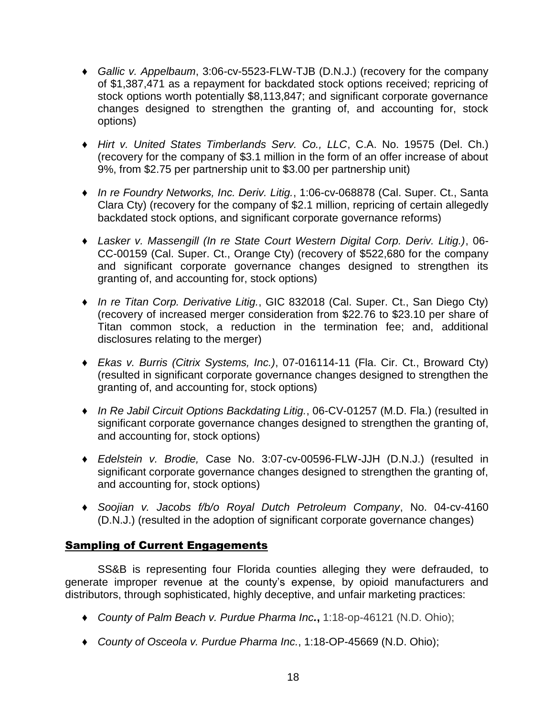- ♦ *Gallic v. Appelbaum*, 3:06-cv-5523-FLW-TJB (D.N.J.) (recovery for the company of \$1,387,471 as a repayment for backdated stock options received; repricing of stock options worth potentially \$8,113,847; and significant corporate governance changes designed to strengthen the granting of, and accounting for, stock options)
- ♦ *Hirt v. United States Timberlands Serv. Co., LLC*, C.A. No. 19575 (Del. Ch.) (recovery for the company of \$3.1 million in the form of an offer increase of about 9%, from \$2.75 per partnership unit to \$3.00 per partnership unit)
- ♦ *In re Foundry Networks, Inc. Deriv. Litig.*, 1:06-cv-068878 (Cal. Super. Ct., Santa Clara Cty) (recovery for the company of \$2.1 million, repricing of certain allegedly backdated stock options, and significant corporate governance reforms)
- ♦ *Lasker v. Massengill (In re State Court Western Digital Corp. Deriv. Litig.)*, 06- CC-00159 (Cal. Super. Ct., Orange Cty) (recovery of \$522,680 for the company and significant corporate governance changes designed to strengthen its granting of, and accounting for, stock options)
- ♦ *In re Titan Corp. Derivative Litig.*, GIC 832018 (Cal. Super. Ct., San Diego Cty) (recovery of increased merger consideration from \$22.76 to \$23.10 per share of Titan common stock, a reduction in the termination fee; and, additional disclosures relating to the merger)
- ♦ *Ekas v. Burris (Citrix Systems, Inc.)*, 07-016114-11 (Fla. Cir. Ct., Broward Cty) (resulted in significant corporate governance changes designed to strengthen the granting of, and accounting for, stock options)
- ♦ *In Re Jabil Circuit Options Backdating Litig.*, 06-CV-01257 (M.D. Fla.) (resulted in significant corporate governance changes designed to strengthen the granting of, and accounting for, stock options)
- ♦ *Edelstein v. Brodie,* Case No. 3:07-cv-00596-FLW-JJH (D.N.J.) (resulted in significant corporate governance changes designed to strengthen the granting of, and accounting for, stock options)
- ♦ *Soojian v. Jacobs f/b/o Royal Dutch Petroleum Company*, No. 04-cv-4160 (D.N.J.) (resulted in the adoption of significant corporate governance changes)

# Sampling of Current Engagements

SS&B is representing four Florida counties alleging they were defrauded, to generate improper revenue at the county's expense, by opioid manufacturers and distributors, through sophisticated, highly deceptive, and unfair marketing practices:

- ♦ *County of Palm Beach v. Purdue Pharma Inc.***,** 1:18-op-46121 (N.D. Ohio);
- ♦ *County of Osceola v. Purdue Pharma Inc.*, 1:18-OP-45669 (N.D. Ohio);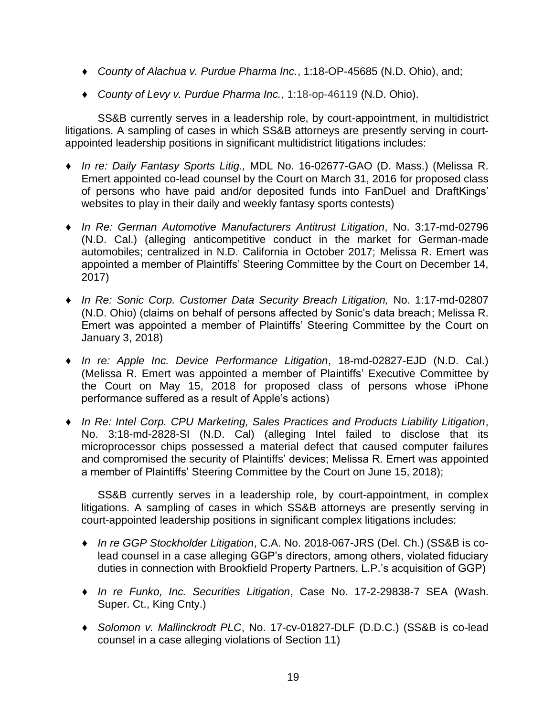- ♦ *County of Alachua v. Purdue Pharma Inc.*, 1:18-OP-45685 (N.D. Ohio), and;
- ♦ *County of Levy v. Purdue Pharma Inc.*, 1:18-op-46119 (N.D. Ohio).

SS&B currently serves in a leadership role, by court-appointment, in multidistrict litigations. A sampling of cases in which SS&B attorneys are presently serving in courtappointed leadership positions in significant multidistrict litigations includes:

- ♦ *In re: Daily Fantasy Sports Litig.,* MDL No. 16-02677-GAO (D. Mass.) (Melissa R. Emert appointed co-lead counsel by the Court on March 31, 2016 for proposed class of persons who have paid and/or deposited funds into FanDuel and DraftKings' websites to play in their daily and weekly fantasy sports contests)
- ♦ *In Re: German Automotive Manufacturers Antitrust Litigation*, No. 3:17-md-02796 (N.D. Cal.) (alleging anticompetitive conduct in the market for German-made automobiles; centralized in N.D. California in October 2017; Melissa R. Emert was appointed a member of Plaintiffs' Steering Committee by the Court on December 14, 2017)
- ♦ *In Re: Sonic Corp. Customer Data Security Breach Litigation,* No. 1:17-md-02807 (N.D. Ohio) (claims on behalf of persons affected by Sonic's data breach; Melissa R. Emert was appointed a member of Plaintiffs' Steering Committee by the Court on January 3, 2018)
- ♦ *In re: Apple Inc. Device Performance Litigation*, 18-md-02827-EJD (N.D. Cal.) (Melissa R. Emert was appointed a member of Plaintiffs' Executive Committee by the Court on May 15, 2018 for proposed class of persons whose iPhone performance suffered as a result of Apple's actions)
- ♦ *In Re: Intel Corp. CPU Marketing, Sales Practices and Products Liability Litigation*, No. 3:18-md-2828-SI (N.D. Cal) (alleging Intel failed to disclose that its microprocessor chips possessed a material defect that caused computer failures and compromised the security of Plaintiffs' devices; Melissa R. Emert was appointed a member of Plaintiffs' Steering Committee by the Court on June 15, 2018);

SS&B currently serves in a leadership role, by court-appointment, in complex litigations. A sampling of cases in which SS&B attorneys are presently serving in court-appointed leadership positions in significant complex litigations includes:

- ♦ *In re GGP Stockholder Litigation*, C.A. No. 2018-067-JRS (Del. Ch.) (SS&B is colead counsel in a case alleging GGP's directors, among others, violated fiduciary duties in connection with Brookfield Property Partners, L.P.'s acquisition of GGP)
- ♦ *In re Funko, Inc. Securities Litigation*, Case No. 17-2-29838-7 SEA (Wash. Super. Ct., King Cnty.)
- ♦ *Solomon v. Mallinckrodt PLC*, No. 17-cv-01827-DLF (D.D.C.) (SS&B is co-lead counsel in a case alleging violations of Section 11)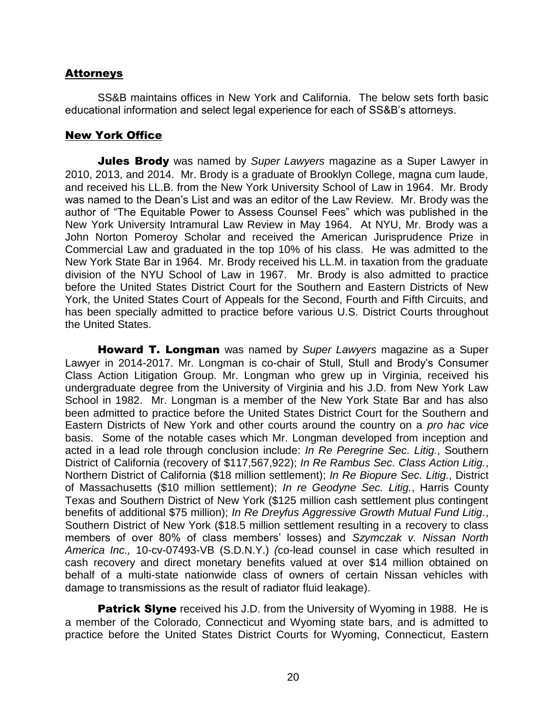## **Attorneys**

SS&B maintains offices in New York and California. The below sets forth basic educational information and select legal experience for each of SS&B's attorneys.

## New York Office

**Jules Brody** was named by *Super Lawyers* magazine as a Super Lawyer in 2010, 2013, and 2014. Mr. Brody is a graduate of Brooklyn College, magna cum laude, and received his LL.B. from the New York University School of Law in 1964. Mr. Brody was named to the Dean's List and was an editor of the Law Review. Mr. Brody was the author of "The Equitable Power to Assess Counsel Fees" which was published in the New York University Intramural Law Review in May 1964. At NYU, Mr. Brody was a John Norton Pomeroy Scholar and received the American Jurisprudence Prize in Commercial Law and graduated in the top 10% of his class. He was admitted to the New York State Bar in 1964. Mr. Brody received his LL.M. in taxation from the graduate division of the NYU School of Law in 1967. Mr. Brody is also admitted to practice before the United States District Court for the Southern and Eastern Districts of New York, the United States Court of Appeals for the Second, Fourth and Fifth Circuits, and has been specially admitted to practice before various U.S. District Courts throughout the United States.

Howard T. Longman was named by *Super Lawyers* magazine as a Super Lawyer in 2014-2017. Mr. Longman is co-chair of Stull, Stull and Brody's Consumer Class Action Litigation Group. Mr. Longman who grew up in Virginia, received his undergraduate degree from the University of Virginia and his J.D. from New York Law School in 1982. Mr. Longman is a member of the New York State Bar and has also been admitted to practice before the United States District Court for the Southern and Eastern Districts of New York and other courts around the country on a *pro hac vice*  basis. Some of the notable cases which Mr. Longman developed from inception and acted in a lead role through conclusion include: *In Re Peregrine Sec. Litig.*, Southern District of California (recovery of \$117,567,922); *In Re Rambus Sec. Class Action Litig.*, Northern District of California (\$18 million settlement); *In Re Biopure Sec. Litig.*, District of Massachusetts (\$10 million settlement); *In re Geodyne Sec. Litig.*, Harris County Texas and Southern District of New York (\$125 million cash settlement plus contingent benefits of additional \$75 million); *In Re Dreyfus Aggressive Growth Mutual Fund Litig.*, Southern District of New York (\$18.5 million settlement resulting in a recovery to class members of over 80% of class members' losses) and *Szymczak v. Nissan North America Inc.,* 10-cv-07493-VB (S.D.N.Y.) *(*co-lead counsel in case which resulted in cash recovery and direct monetary benefits valued at over \$14 million obtained on behalf of a multi-state nationwide class of owners of certain Nissan vehicles with damage to transmissions as the result of radiator fluid leakage).

**Patrick Slyne** received his J.D. from the University of Wyoming in 1988. He is a member of the Colorado, Connecticut and Wyoming state bars, and is admitted to practice before the United States District Courts for Wyoming, Connecticut, Eastern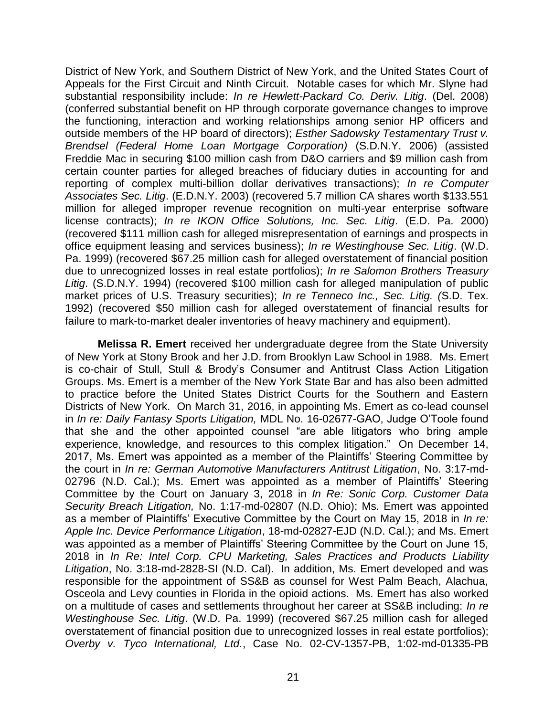District of New York, and Southern District of New York, and the United States Court of Appeals for the First Circuit and Ninth Circuit. Notable cases for which Mr. Slyne had substantial responsibility include: *In re Hewlett-Packard Co. Deriv. Litig*. (Del. 2008) (conferred substantial benefit on HP through corporate governance changes to improve the functioning, interaction and working relationships among senior HP officers and outside members of the HP board of directors); *Esther Sadowsky Testamentary Trust v. Brendsel (Federal Home Loan Mortgage Corporation)* (S.D.N.Y. 2006) (assisted Freddie Mac in securing \$100 million cash from D&O carriers and \$9 million cash from certain counter parties for alleged breaches of fiduciary duties in accounting for and reporting of complex multi-billion dollar derivatives transactions); *In re Computer Associates Sec. Litig*. (E.D.N.Y. 2003) (recovered 5.7 million CA shares worth \$133.551 million for alleged improper revenue recognition on multi-year enterprise software license contracts); *In re IKON Office Solutions, Inc. Sec. Litig*. (E.D. Pa. 2000) (recovered \$111 million cash for alleged misrepresentation of earnings and prospects in office equipment leasing and services business); *In re Westinghouse Sec. Litig*. (W.D. Pa. 1999) (recovered \$67.25 million cash for alleged overstatement of financial position due to unrecognized losses in real estate portfolios); *In re Salomon Brothers Treasury Litig*. (S.D.N.Y. 1994) (recovered \$100 million cash for alleged manipulation of public market prices of U.S. Treasury securities); *In re Tenneco Inc., Sec. Litig. (*S.D. Tex. 1992) (recovered \$50 million cash for alleged overstatement of financial results for failure to mark-to-market dealer inventories of heavy machinery and equipment).

**Melissa R. Emert** received her undergraduate degree from the State University of New York at Stony Brook and her J.D. from Brooklyn Law School in 1988. Ms. Emert is co-chair of Stull, Stull & Brody's Consumer and Antitrust Class Action Litigation Groups. Ms. Emert is a member of the New York State Bar and has also been admitted to practice before the United States District Courts for the Southern and Eastern Districts of New York. On March 31, 2016, in appointing Ms. Emert as co-lead counsel in *In re: Daily Fantasy Sports Litigation,* MDL No. 16-02677-GAO, Judge O'Toole found that she and the other appointed counsel "are able litigators who bring ample experience, knowledge, and resources to this complex litigation." On December 14, 2017, Ms. Emert was appointed as a member of the Plaintiffs' Steering Committee by the court in *In re: German Automotive Manufacturers Antitrust Litigation*, No. 3:17-md-02796 (N.D. Cal.); Ms. Emert was appointed as a member of Plaintiffs' Steering Committee by the Court on January 3, 2018 in *In Re: Sonic Corp. Customer Data Security Breach Litigation,* No. 1:17-md-02807 (N.D. Ohio); Ms. Emert was appointed as a member of Plaintiffs' Executive Committee by the Court on May 15, 2018 in *In re: Apple Inc. Device Performance Litigation*, 18-md-02827-EJD (N.D. Cal.); and Ms. Emert was appointed as a member of Plaintiffs' Steering Committee by the Court on June 15, 2018 in *In Re: Intel Corp. CPU Marketing, Sales Practices and Products Liability Litigation*, No. 3:18-md-2828-SI (N.D. Cal). In addition, Ms. Emert developed and was responsible for the appointment of SS&B as counsel for West Palm Beach, Alachua, Osceola and Levy counties in Florida in the opioid actions. Ms. Emert has also worked on a multitude of cases and settlements throughout her career at SS&B including: *In re Westinghouse Sec. Litig*. (W.D. Pa. 1999) (recovered \$67.25 million cash for alleged overstatement of financial position due to unrecognized losses in real estate portfolios); *Overby v. Tyco International, Ltd.*, Case No. 02-CV-1357-PB, 1:02-md-01335-PB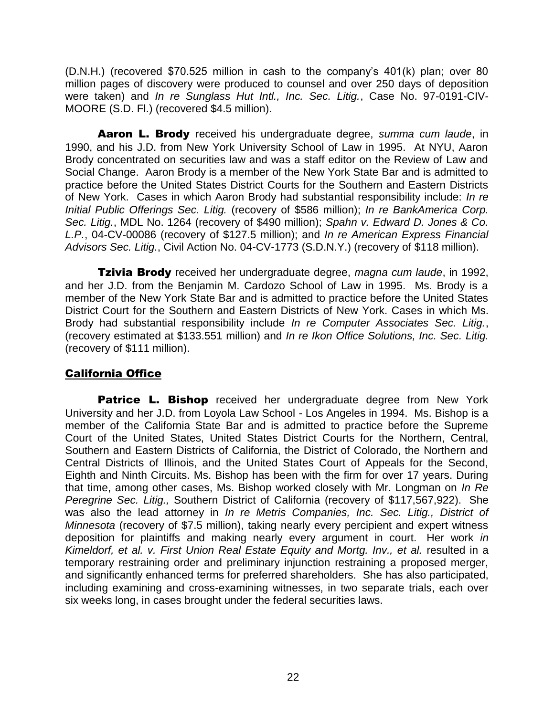(D.N.H.) (recovered \$70.525 million in cash to the company's 401(k) plan; over 80 million pages of discovery were produced to counsel and over 250 days of deposition were taken) and *In re Sunglass Hut Intl., Inc. Sec. Litig.*, Case No. 97-0191-CIV-MOORE (S.D. Fl.) (recovered \$4.5 million).

Aaron L. Brody received his undergraduate degree, *summa cum laude*, in 1990, and his J.D. from New York University School of Law in 1995. At NYU, Aaron Brody concentrated on securities law and was a staff editor on the Review of Law and Social Change. Aaron Brody is a member of the New York State Bar and is admitted to practice before the United States District Courts for the Southern and Eastern Districts of New York. Cases in which Aaron Brody had substantial responsibility include: *In re Initial Public Offerings Sec. Litig.* (recovery of \$586 million); *In re BankAmerica Corp. Sec. Litig.*, MDL No. 1264 (recovery of \$490 million); *Spahn v. Edward D. Jones & Co. L.P.*, 04-CV-00086 (recovery of \$127.5 million); and *In re American Express Financial Advisors Sec. Litig.*, Civil Action No. 04-CV-1773 (S.D.N.Y.) (recovery of \$118 million).

Tzivia Brody received her undergraduate degree, *magna cum laude*, in 1992, and her J.D. from the Benjamin M. Cardozo School of Law in 1995. Ms. Brody is a member of the New York State Bar and is admitted to practice before the United States District Court for the Southern and Eastern Districts of New York. Cases in which Ms. Brody had substantial responsibility include *In re Computer Associates Sec. Litig.*, (recovery estimated at \$133.551 million) and *In re Ikon Office Solutions, Inc. Sec. Litig.* (recovery of \$111 million).

## California Office

Patrice L. Bishop received her undergraduate degree from New York University and her J.D. from Loyola Law School - Los Angeles in 1994. Ms. Bishop is a member of the California State Bar and is admitted to practice before the Supreme Court of the United States, United States District Courts for the Northern, Central, Southern and Eastern Districts of California, the District of Colorado, the Northern and Central Districts of Illinois, and the United States Court of Appeals for the Second, Eighth and Ninth Circuits. Ms. Bishop has been with the firm for over 17 years. During that time, among other cases, Ms. Bishop worked closely with Mr. Longman on *In Re Peregrine Sec. Litig.,* Southern District of California (recovery of \$117,567,922). She was also the lead attorney in *In re Metris Companies, Inc. Sec. Litig., District of Minnesota* (recovery of \$7.5 million), taking nearly every percipient and expert witness deposition for plaintiffs and making nearly every argument in court. Her work *in Kimeldorf, et al. v. First Union Real Estate Equity and Mortg. Inv., et al.* resulted in a temporary restraining order and preliminary injunction restraining a proposed merger, and significantly enhanced terms for preferred shareholders. She has also participated, including examining and cross-examining witnesses, in two separate trials, each over six weeks long, in cases brought under the federal securities laws.